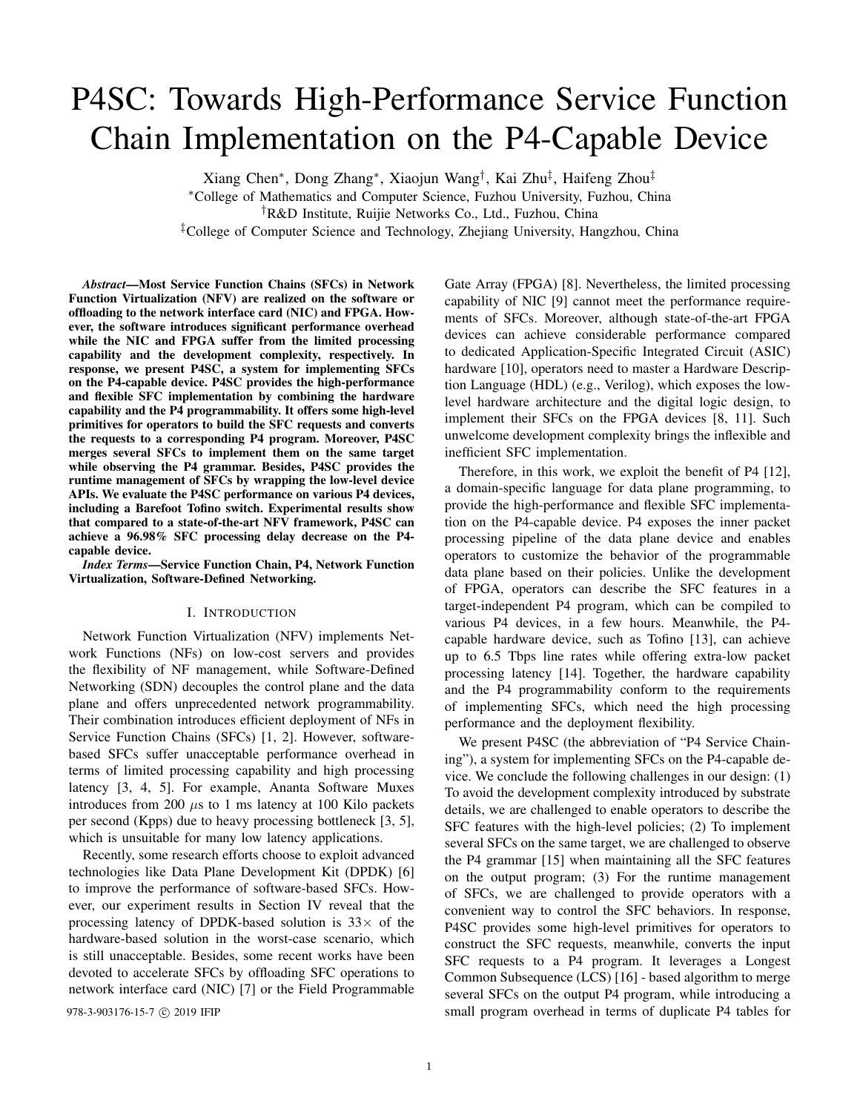# P4SC: Towards High-Performance Service Function Chain Implementation on the P4-Capable Device

Xiang Chen<sup>∗</sup> , Dong Zhang<sup>∗</sup> , Xiaojun Wang† , Kai Zhu‡ , Haifeng Zhou‡ <sup>∗</sup>College of Mathematics and Computer Science, Fuzhou University, Fuzhou, China †R&D Institute, Ruijie Networks Co., Ltd., Fuzhou, China ‡College of Computer Science and Technology, Zhejiang University, Hangzhou, China

*Abstract*—Most Service Function Chains (SFCs) in Network Function Virtualization (NFV) are realized on the software or offloading to the network interface card (NIC) and FPGA. However, the software introduces significant performance overhead while the NIC and FPGA suffer from the limited processing capability and the development complexity, respectively. In response, we present P4SC, a system for implementing SFCs on the P4-capable device. P4SC provides the high-performance and flexible SFC implementation by combining the hardware capability and the P4 programmability. It offers some high-level primitives for operators to build the SFC requests and converts the requests to a corresponding P4 program. Moreover, P4SC merges several SFCs to implement them on the same target while observing the P4 grammar. Besides, P4SC provides the runtime management of SFCs by wrapping the low-level device APIs. We evaluate the P4SC performance on various P4 devices, including a Barefoot Tofino switch. Experimental results show that compared to a state-of-the-art NFV framework, P4SC can achieve a 96.98% SFC processing delay decrease on the P4 capable device.

*Index Terms*—Service Function Chain, P4, Network Function Virtualization, Software-Defined Networking.

## I. INTRODUCTION

Network Function Virtualization (NFV) implements Network Functions (NFs) on low-cost servers and provides the flexibility of NF management, while Software-Defined Networking (SDN) decouples the control plane and the data plane and offers unprecedented network programmability. Their combination introduces efficient deployment of NFs in Service Function Chains (SFCs) [1, 2]. However, softwarebased SFCs suffer unacceptable performance overhead in terms of limited processing capability and high processing latency [3, 4, 5]. For example, Ananta Software Muxes introduces from 200  $\mu$ s to 1 ms latency at 100 Kilo packets per second (Kpps) due to heavy processing bottleneck [3, 5], which is unsuitable for many low latency applications.

Recently, some research efforts choose to exploit advanced technologies like Data Plane Development Kit (DPDK) [6] to improve the performance of software-based SFCs. However, our experiment results in Section IV reveal that the processing latency of DPDK-based solution is  $33\times$  of the hardware-based solution in the worst-case scenario, which is still unacceptable. Besides, some recent works have been devoted to accelerate SFCs by offloading SFC operations to network interface card (NIC) [7] or the Field Programmable

Gate Array (FPGA) [8]. Nevertheless, the limited processing capability of NIC [9] cannot meet the performance requirements of SFCs. Moreover, although state-of-the-art FPGA devices can achieve considerable performance compared to dedicated Application-Specific Integrated Circuit (ASIC) hardware [10], operators need to master a Hardware Description Language (HDL) (e.g., Verilog), which exposes the lowlevel hardware architecture and the digital logic design, to implement their SFCs on the FPGA devices [8, 11]. Such unwelcome development complexity brings the inflexible and inefficient SFC implementation.

Therefore, in this work, we exploit the benefit of P4 [12], a domain-specific language for data plane programming, to provide the high-performance and flexible SFC implementation on the P4-capable device. P4 exposes the inner packet processing pipeline of the data plane device and enables operators to customize the behavior of the programmable data plane based on their policies. Unlike the development of FPGA, operators can describe the SFC features in a target-independent P4 program, which can be compiled to various P4 devices, in a few hours. Meanwhile, the P4 capable hardware device, such as Tofino [13], can achieve up to 6.5 Tbps line rates while offering extra-low packet processing latency [14]. Together, the hardware capability and the P4 programmability conform to the requirements of implementing SFCs, which need the high processing performance and the deployment flexibility.

We present P4SC (the abbreviation of "P4 Service Chaining"), a system for implementing SFCs on the P4-capable device. We conclude the following challenges in our design: (1) To avoid the development complexity introduced by substrate details, we are challenged to enable operators to describe the SFC features with the high-level policies; (2) To implement several SFCs on the same target, we are challenged to observe the P4 grammar [15] when maintaining all the SFC features on the output program; (3) For the runtime management of SFCs, we are challenged to provide operators with a convenient way to control the SFC behaviors. In response, P4SC provides some high-level primitives for operators to construct the SFC requests, meanwhile, converts the input SFC requests to a P4 program. It leverages a Longest Common Subsequence (LCS) [16] - based algorithm to merge several SFCs on the output P4 program, while introducing a 978-3-903176-15-7  $\odot$  2019 IFIP small program overhead in terms of duplicate P4 tables for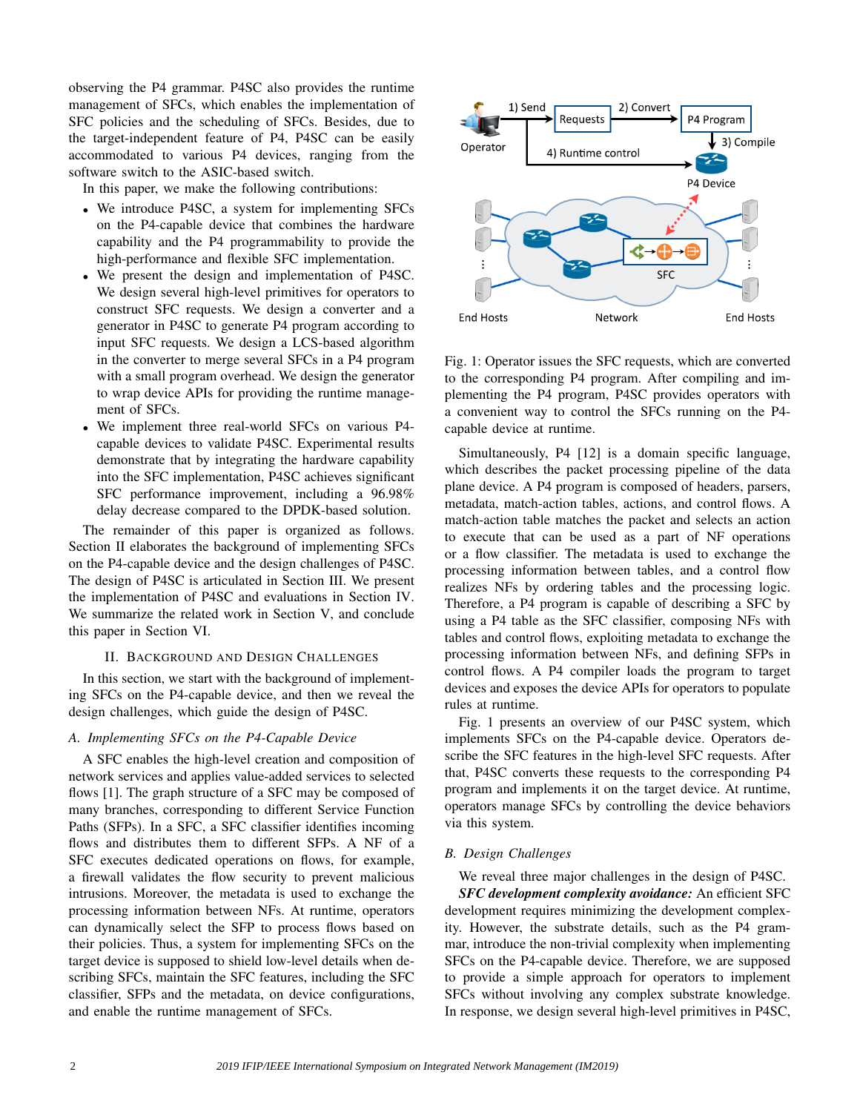observing the P4 grammar. P4SC also provides the runtime management of SFCs, which enables the implementation of SFC policies and the scheduling of SFCs. Besides, due to the target-independent feature of P4, P4SC can be easily accommodated to various P4 devices, ranging from the software switch to the ASIC-based switch.

In this paper, we make the following contributions:

- We introduce P4SC, a system for implementing SFCs on the P4-capable device that combines the hardware capability and the P4 programmability to provide the high-performance and flexible SFC implementation.
- We present the design and implementation of P4SC. We design several high-level primitives for operators to construct SFC requests. We design a converter and a generator in P4SC to generate P4 program according to input SFC requests. We design a LCS-based algorithm in the converter to merge several SFCs in a P4 program with a small program overhead. We design the generator to wrap device APIs for providing the runtime management of SFCs.
- We implement three real-world SFCs on various P4 capable devices to validate P4SC. Experimental results demonstrate that by integrating the hardware capability into the SFC implementation, P4SC achieves significant SFC performance improvement, including a 96.98% delay decrease compared to the DPDK-based solution.

The remainder of this paper is organized as follows. Section II elaborates the background of implementing SFCs on the P4-capable device and the design challenges of P4SC. The design of P4SC is articulated in Section III. We present the implementation of P4SC and evaluations in Section IV. We summarize the related work in Section V, and conclude this paper in Section VI.

## II. BACKGROUND AND DESIGN CHALLENGES

In this section, we start with the background of implementing SFCs on the P4-capable device, and then we reveal the design challenges, which guide the design of P4SC.

# *A. Implementing SFCs on the P4-Capable Device*

A SFC enables the high-level creation and composition of network services and applies value-added services to selected flows [1]. The graph structure of a SFC may be composed of many branches, corresponding to different Service Function Paths (SFPs). In a SFC, a SFC classifier identifies incoming flows and distributes them to different SFPs. A NF of a SFC executes dedicated operations on flows, for example, a firewall validates the flow security to prevent malicious intrusions. Moreover, the metadata is used to exchange the processing information between NFs. At runtime, operators can dynamically select the SFP to process flows based on their policies. Thus, a system for implementing SFCs on the target device is supposed to shield low-level details when describing SFCs, maintain the SFC features, including the SFC classifier, SFPs and the metadata, on device configurations, and enable the runtime management of SFCs.



Fig. 1: Operator issues the SFC requests, which are converted to the corresponding P4 program. After compiling and implementing the P4 program, P4SC provides operators with a convenient way to control the SFCs running on the P4 capable device at runtime.

Simultaneously, P4 [12] is a domain specific language, which describes the packet processing pipeline of the data plane device. A P4 program is composed of headers, parsers, metadata, match-action tables, actions, and control flows. A match-action table matches the packet and selects an action to execute that can be used as a part of NF operations or a flow classifier. The metadata is used to exchange the processing information between tables, and a control flow realizes NFs by ordering tables and the processing logic. Therefore, a P4 program is capable of describing a SFC by using a P4 table as the SFC classifier, composing NFs with tables and control flows, exploiting metadata to exchange the processing information between NFs, and defining SFPs in control flows. A P4 compiler loads the program to target devices and exposes the device APIs for operators to populate rules at runtime.

Fig. 1 presents an overview of our P4SC system, which implements SFCs on the P4-capable device. Operators describe the SFC features in the high-level SFC requests. After that, P4SC converts these requests to the corresponding P4 program and implements it on the target device. At runtime, operators manage SFCs by controlling the device behaviors via this system.

# *B. Design Challenges*

We reveal three major challenges in the design of P4SC. *SFC development complexity avoidance:* An efficient SFC development requires minimizing the development complexity. However, the substrate details, such as the P4 grammar, introduce the non-trivial complexity when implementing SFCs on the P4-capable device. Therefore, we are supposed to provide a simple approach for operators to implement SFCs without involving any complex substrate knowledge. In response, we design several high-level primitives in P4SC,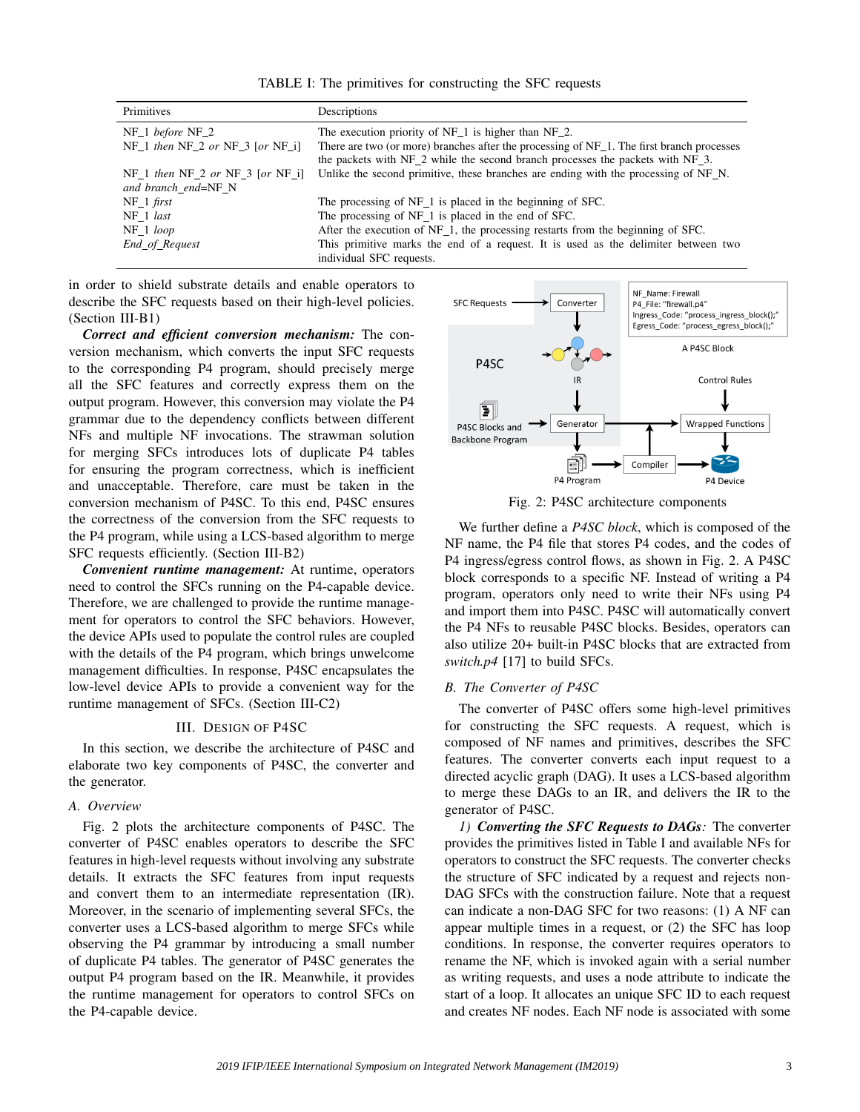TABLE I: The primitives for constructing the SFC requests

| Primitives                       | Descriptions                                                                              |
|----------------------------------|-------------------------------------------------------------------------------------------|
| $NF_1$ before $NF_2$             | The execution priority of $NF_1$ is higher than $NF_2$ .                                  |
| NF 1 then NF 2 or NF 3 [or NF i] | There are two (or more) branches after the processing of NF 1. The first branch processes |
|                                  | the packets with NF 2 while the second branch processes the packets with NF 3.            |
| NF 1 then NF 2 or NF 3 [or NF i] | Unlike the second primitive, these branches are ending with the processing of NF_N.       |
| and branch end=NF N              |                                                                                           |
| $NF_1$ first                     | The processing of NF 1 is placed in the beginning of SFC.                                 |
| NF 1 last                        | The processing of NF <sub>1</sub> is placed in the end of SFC.                            |
| NF 1 loop                        | After the execution of NF 1, the processing restarts from the beginning of SFC.           |
| End_of_Request                   | This primitive marks the end of a request. It is used as the delimiter between two        |
|                                  | individual SFC requests.                                                                  |

in order to shield substrate details and enable operators to describe the SFC requests based on their high-level policies. (Section III-B1)

*Correct and efficient conversion mechanism:* The conversion mechanism, which converts the input SFC requests to the corresponding P4 program, should precisely merge all the SFC features and correctly express them on the output program. However, this conversion may violate the P4 grammar due to the dependency conflicts between different NFs and multiple NF invocations. The strawman solution for merging SFCs introduces lots of duplicate P4 tables for ensuring the program correctness, which is inefficient and unacceptable. Therefore, care must be taken in the conversion mechanism of P4SC. To this end, P4SC ensures the correctness of the conversion from the SFC requests to the P4 program, while using a LCS-based algorithm to merge SFC requests efficiently. (Section III-B2)

*Convenient runtime management:* At runtime, operators need to control the SFCs running on the P4-capable device. Therefore, we are challenged to provide the runtime management for operators to control the SFC behaviors. However, the device APIs used to populate the control rules are coupled with the details of the P4 program, which brings unwelcome management difficulties. In response, P4SC encapsulates the low-level device APIs to provide a convenient way for the runtime management of SFCs. (Section III-C2)

# III. DESIGN OF P4SC

In this section, we describe the architecture of P4SC and elaborate two key components of P4SC, the converter and the generator.

#### *A. Overview*

Fig. 2 plots the architecture components of P4SC. The converter of P4SC enables operators to describe the SFC features in high-level requests without involving any substrate details. It extracts the SFC features from input requests and convert them to an intermediate representation (IR). Moreover, in the scenario of implementing several SFCs, the converter uses a LCS-based algorithm to merge SFCs while observing the P4 grammar by introducing a small number of duplicate P4 tables. The generator of P4SC generates the output P4 program based on the IR. Meanwhile, it provides the runtime management for operators to control SFCs on the P4-capable device.



Fig. 2: P4SC architecture components

We further define a *P4SC block*, which is composed of the NF name, the P4 file that stores P4 codes, and the codes of P4 ingress/egress control flows, as shown in Fig. 2. A P4SC block corresponds to a specific NF. Instead of writing a P4 program, operators only need to write their NFs using P4 and import them into P4SC. P4SC will automatically convert the P4 NFs to reusable P4SC blocks. Besides, operators can also utilize 20+ built-in P4SC blocks that are extracted from *switch.p4* [17] to build SFCs.

#### *B. The Converter of P4SC*

The converter of P4SC offers some high-level primitives for constructing the SFC requests. A request, which is composed of NF names and primitives, describes the SFC features. The converter converts each input request to a directed acyclic graph (DAG). It uses a LCS-based algorithm to merge these DAGs to an IR, and delivers the IR to the generator of P4SC.

*1) Converting the SFC Requests to DAGs:* The converter provides the primitives listed in Table I and available NFs for operators to construct the SFC requests. The converter checks the structure of SFC indicated by a request and rejects non-DAG SFCs with the construction failure. Note that a request can indicate a non-DAG SFC for two reasons: (1) A NF can appear multiple times in a request, or (2) the SFC has loop conditions. In response, the converter requires operators to rename the NF, which is invoked again with a serial number as writing requests, and uses a node attribute to indicate the start of a loop. It allocates an unique SFC ID to each request and creates NF nodes. Each NF node is associated with some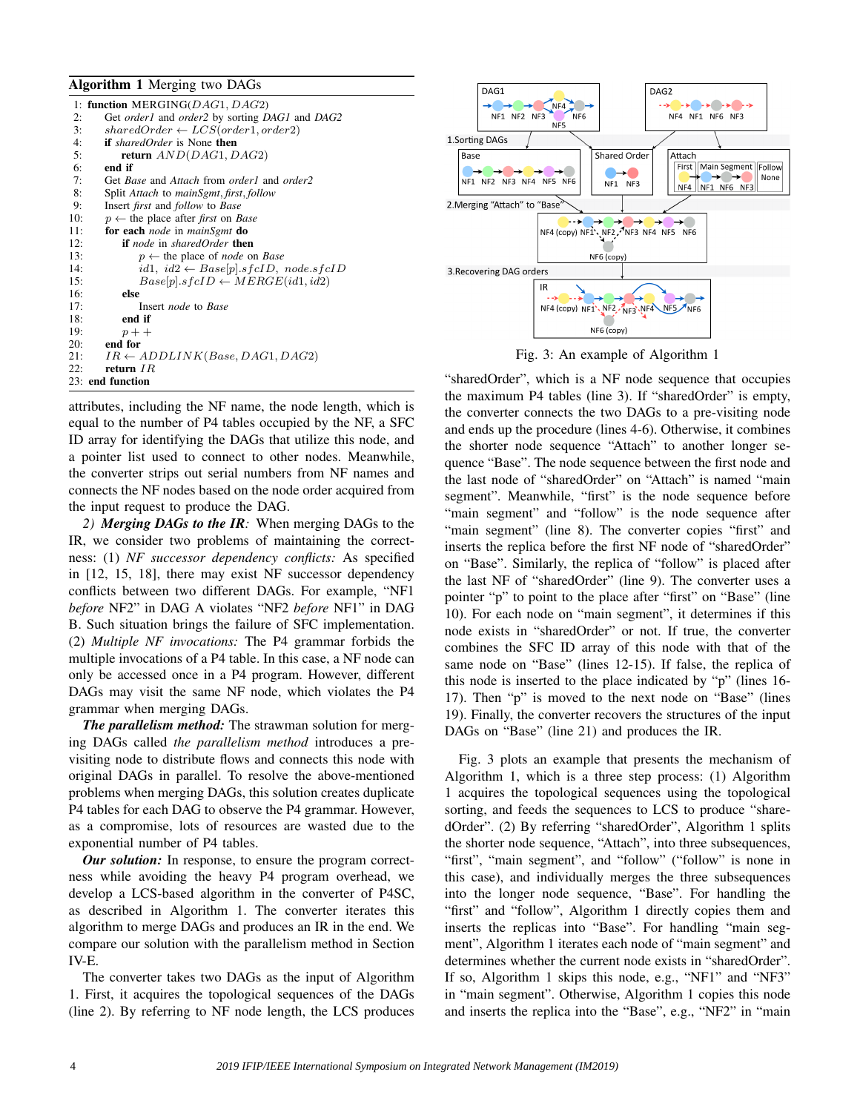#### Algorithm 1 Merging two DAGs

|              | 1: function MERGING( $DAG1$ , $DAG2$ )                                 |  |  |
|--------------|------------------------------------------------------------------------|--|--|
| 2:           | Get order1 and order2 by sorting DAG1 and DAG2                         |  |  |
| 3:           | $sharedOrder \leftarrow LCS(order1, order2)$                           |  |  |
| 4:           | <b>if</b> sharedOrder is None <b>then</b>                              |  |  |
| 5:           | return $AND(DAG1, DAG2)$                                               |  |  |
| 6:           | end if                                                                 |  |  |
| 7:           | Get <i>Base</i> and <i>Attach</i> from <i>order1</i> and <i>order2</i> |  |  |
| 8:           | Split Attach to mainSgmt, first, follow                                |  |  |
| 9:           | Insert <i>first</i> and <i>follow</i> to <i>Base</i>                   |  |  |
| 10:          | $p \leftarrow$ the place after <i>first</i> on <i>Base</i>             |  |  |
| 11:          | for each node in mainSgmt do                                           |  |  |
| 12:          | <b>if</b> node in sharedOrder <b>then</b>                              |  |  |
| 13:          | $p \leftarrow$ the place of <i>node</i> on <i>Base</i>                 |  |  |
| 14:          | id1, id2 $\leftarrow$ Base[p].sfcID, node.sfcID                        |  |  |
| 15:          | $Base[p].sfcID \leftarrow MERGE(id1,id2)$                              |  |  |
| 16:          | else                                                                   |  |  |
| 17:          | Insert <i>node</i> to Base                                             |  |  |
| 18:          | end if                                                                 |  |  |
| 19:          | $p+$                                                                   |  |  |
| 20:          | end for                                                                |  |  |
| 21:          | $IR \leftarrow ADDLINK(Base, DAG1, DAG2)$                              |  |  |
| $22^{\circ}$ | return $IR$                                                            |  |  |
|              | 23: end function                                                       |  |  |

attributes, including the NF name, the node length, which is equal to the number of P4 tables occupied by the NF, a SFC ID array for identifying the DAGs that utilize this node, and a pointer list used to connect to other nodes. Meanwhile, the converter strips out serial numbers from NF names and connects the NF nodes based on the node order acquired from the input request to produce the DAG.

*2) Merging DAGs to the IR:* When merging DAGs to the IR, we consider two problems of maintaining the correctness: (1) *NF successor dependency conflicts:* As specified in [12, 15, 18], there may exist NF successor dependency conflicts between two different DAGs. For example, "NF1 *before* NF2" in DAG A violates "NF2 *before* NF1" in DAG B. Such situation brings the failure of SFC implementation. (2) *Multiple NF invocations:* The P4 grammar forbids the multiple invocations of a P4 table. In this case, a NF node can only be accessed once in a P4 program. However, different DAGs may visit the same NF node, which violates the P4 grammar when merging DAGs.

*The parallelism method:* The strawman solution for merging DAGs called *the parallelism method* introduces a previsiting node to distribute flows and connects this node with original DAGs in parallel. To resolve the above-mentioned problems when merging DAGs, this solution creates duplicate P4 tables for each DAG to observe the P4 grammar. However, as a compromise, lots of resources are wasted due to the exponential number of P4 tables.

*Our solution:* In response, to ensure the program correctness while avoiding the heavy P4 program overhead, we develop a LCS-based algorithm in the converter of P4SC, as described in Algorithm 1. The converter iterates this algorithm to merge DAGs and produces an IR in the end. We compare our solution with the parallelism method in Section IV-E.

The converter takes two DAGs as the input of Algorithm 1. First, it acquires the topological sequences of the DAGs (line 2). By referring to NF node length, the LCS produces



Fig. 3: An example of Algorithm 1

"sharedOrder", which is a NF node sequence that occupies the maximum P4 tables (line 3). If "sharedOrder" is empty, the converter connects the two DAGs to a pre-visiting node and ends up the procedure (lines 4-6). Otherwise, it combines the shorter node sequence "Attach" to another longer sequence "Base". The node sequence between the first node and the last node of "sharedOrder" on "Attach" is named "main segment". Meanwhile, "first" is the node sequence before "main segment" and "follow" is the node sequence after "main segment" (line 8). The converter copies "first" and inserts the replica before the first NF node of "sharedOrder" on "Base". Similarly, the replica of "follow" is placed after the last NF of "sharedOrder" (line 9). The converter uses a pointer "p" to point to the place after "first" on "Base" (line 10). For each node on "main segment", it determines if this node exists in "sharedOrder" or not. If true, the converter combines the SFC ID array of this node with that of the same node on "Base" (lines 12-15). If false, the replica of this node is inserted to the place indicated by "p" (lines 16- 17). Then "p" is moved to the next node on "Base" (lines 19). Finally, the converter recovers the structures of the input DAGs on "Base" (line 21) and produces the IR.

Fig. 3 plots an example that presents the mechanism of Algorithm 1, which is a three step process: (1) Algorithm 1 acquires the topological sequences using the topological sorting, and feeds the sequences to LCS to produce "sharedOrder". (2) By referring "sharedOrder", Algorithm 1 splits the shorter node sequence, "Attach", into three subsequences, "first", "main segment", and "follow" ("follow" is none in this case), and individually merges the three subsequences into the longer node sequence, "Base". For handling the "first" and "follow", Algorithm 1 directly copies them and inserts the replicas into "Base". For handling "main segment", Algorithm 1 iterates each node of "main segment" and determines whether the current node exists in "sharedOrder". If so, Algorithm 1 skips this node, e.g., "NF1" and "NF3" in "main segment". Otherwise, Algorithm 1 copies this node and inserts the replica into the "Base", e.g., "NF2" in "main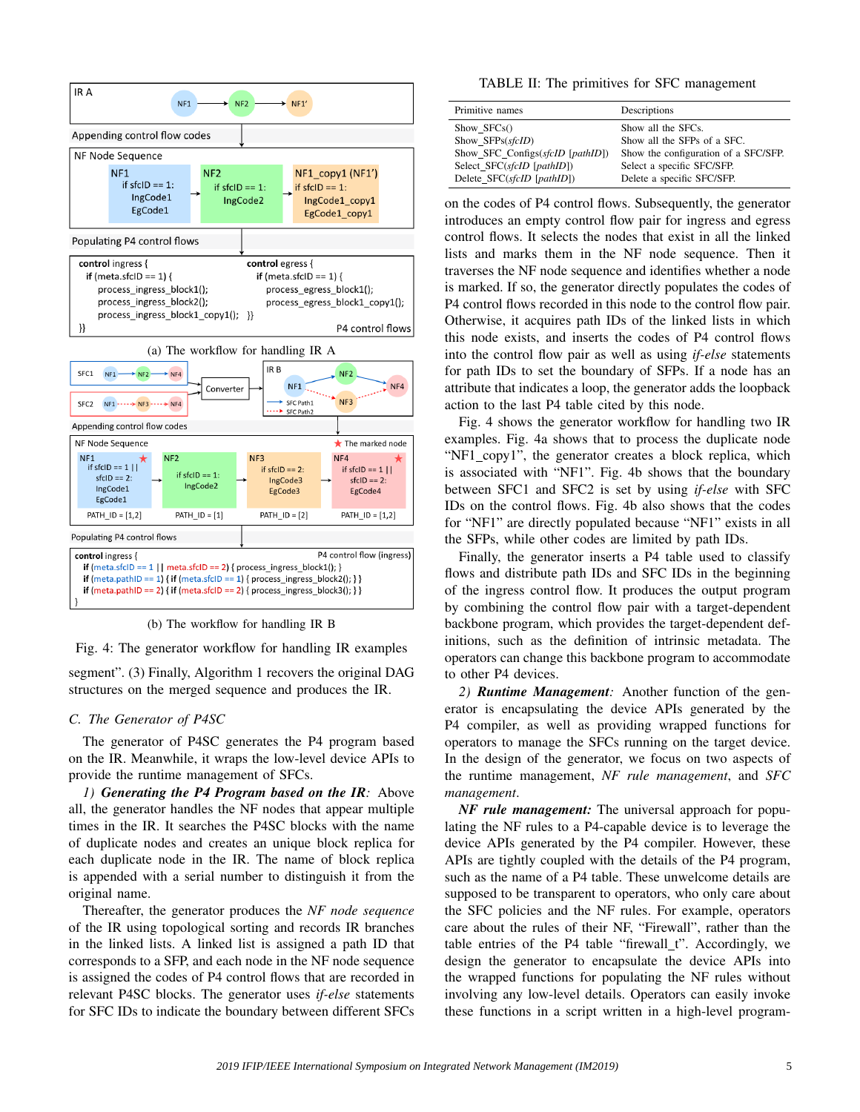

(b) The workflow for handling IR B

Fig. 4: The generator workflow for handling IR examples

segment". (3) Finally, Algorithm 1 recovers the original DAG structures on the merged sequence and produces the IR.

## *C. The Generator of P4SC*

The generator of P4SC generates the P4 program based on the IR. Meanwhile, it wraps the low-level device APIs to provide the runtime management of SFCs.

*1) Generating the P4 Program based on the IR:* Above all, the generator handles the NF nodes that appear multiple times in the IR. It searches the P4SC blocks with the name of duplicate nodes and creates an unique block replica for each duplicate node in the IR. The name of block replica is appended with a serial number to distinguish it from the original name.

Thereafter, the generator produces the *NF node sequence* of the IR using topological sorting and records IR branches in the linked lists. A linked list is assigned a path ID that corresponds to a SFP, and each node in the NF node sequence is assigned the codes of P4 control flows that are recorded in relevant P4SC blocks. The generator uses *if-else* statements for SFC IDs to indicate the boundary between different SFCs

#### TABLE II: The primitives for SFC management

| Primitive names                  | Descriptions                         |
|----------------------------------|--------------------------------------|
| Show $SFCs()$                    | Show all the SFCs.                   |
| Show SFPs(sfcID)                 | Show all the SFPs of a SFC.          |
| Show SFC Configs(sfcID [pathID]) | Show the configuration of a SFC/SFP. |
| Select SFC(sfcID [pathID])       | Select a specific SFC/SFP.           |
| Delete SFC(sfcID [pathID])       | Delete a specific SFC/SFP.           |

on the codes of P4 control flows. Subsequently, the generator introduces an empty control flow pair for ingress and egress control flows. It selects the nodes that exist in all the linked lists and marks them in the NF node sequence. Then it traverses the NF node sequence and identifies whether a node is marked. If so, the generator directly populates the codes of P4 control flows recorded in this node to the control flow pair. Otherwise, it acquires path IDs of the linked lists in which this node exists, and inserts the codes of P4 control flows into the control flow pair as well as using *if-else* statements for path IDs to set the boundary of SFPs. If a node has an attribute that indicates a loop, the generator adds the loopback action to the last P4 table cited by this node.

Fig. 4 shows the generator workflow for handling two IR examples. Fig. 4a shows that to process the duplicate node "NF1 copy1", the generator creates a block replica, which is associated with "NF1". Fig. 4b shows that the boundary between SFC1 and SFC2 is set by using *if-else* with SFC IDs on the control flows. Fig. 4b also shows that the codes for "NF1" are directly populated because "NF1" exists in all the SFPs, while other codes are limited by path IDs.

Finally, the generator inserts a P4 table used to classify flows and distribute path IDs and SFC IDs in the beginning of the ingress control flow. It produces the output program by combining the control flow pair with a target-dependent backbone program, which provides the target-dependent definitions, such as the definition of intrinsic metadata. The operators can change this backbone program to accommodate to other P4 devices.

*2) Runtime Management:* Another function of the generator is encapsulating the device APIs generated by the P4 compiler, as well as providing wrapped functions for operators to manage the SFCs running on the target device. In the design of the generator, we focus on two aspects of the runtime management, *NF rule management*, and *SFC management*.

*NF rule management:* The universal approach for populating the NF rules to a P4-capable device is to leverage the device APIs generated by the P4 compiler. However, these APIs are tightly coupled with the details of the P4 program, such as the name of a P4 table. These unwelcome details are supposed to be transparent to operators, who only care about the SFC policies and the NF rules. For example, operators care about the rules of their NF, "Firewall", rather than the table entries of the P4 table "firewall t". Accordingly, we design the generator to encapsulate the device APIs into the wrapped functions for populating the NF rules without involving any low-level details. Operators can easily invoke these functions in a script written in a high-level program-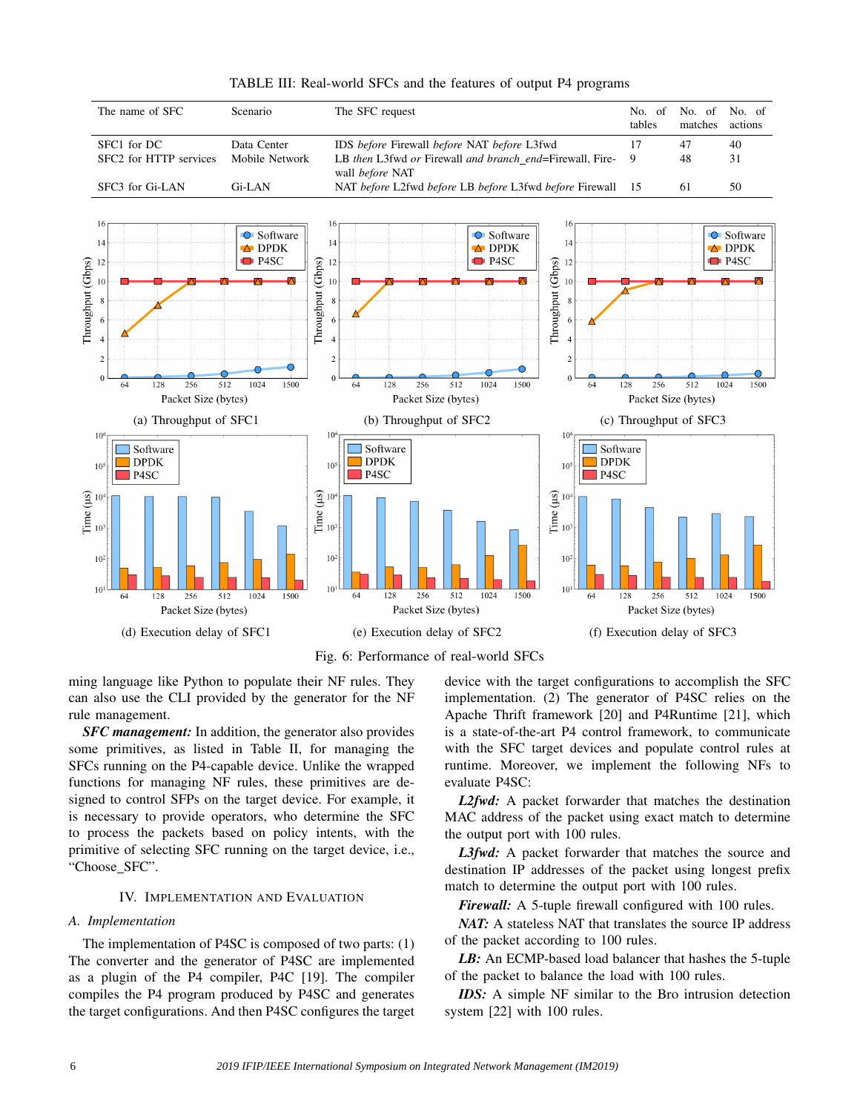

TABLE III: Real-world SFCs and the features of output P4 programs



ming language like Python to populate their NF rules. They can also use the CLI provided by the generator for the NF rule management.

*SFC management:* In addition, the generator also provides some primitives, as listed in Table II, for managing the SFCs running on the P4-capable device. Unlike the wrapped functions for managing NF rules, these primitives are designed to control SFPs on the target device. For example, it is necessary to provide operators, who determine the SFC to process the packets based on policy intents, with the primitive of selecting SFC running on the target device, i.e., "Choose SFC".

### IV. IMPLEMENTATION AND EVALUATION

## *A. Implementation*

The implementation of P4SC is composed of two parts: (1) The converter and the generator of P4SC are implemented as a plugin of the P4 compiler, P4C [19]. The compiler compiles the P4 program produced by P4SC and generates the target configurations. And then P4SC configures the target device with the target configurations to accomplish the SFC implementation. (2) The generator of P4SC relies on the Apache Thrift framework [20] and P4Runtime [21], which is a state-of-the-art P4 control framework, to communicate with the SFC target devices and populate control rules at runtime. Moreover, we implement the following NFs to evaluate P4SC:

*L2fwd:* A packet forwarder that matches the destination MAC address of the packet using exact match to determine the output port with 100 rules.

*L3fwd:* A packet forwarder that matches the source and destination IP addresses of the packet using longest prefix match to determine the output port with 100 rules.

*Firewall:* A 5-tuple firewall configured with 100 rules.

*NAT:* A stateless NAT that translates the source IP address of the packet according to 100 rules.

*LB:* An ECMP-based load balancer that hashes the 5-tuple of the packet to balance the load with 100 rules.

*IDS:* A simple NF similar to the Bro intrusion detection system [22] with 100 rules.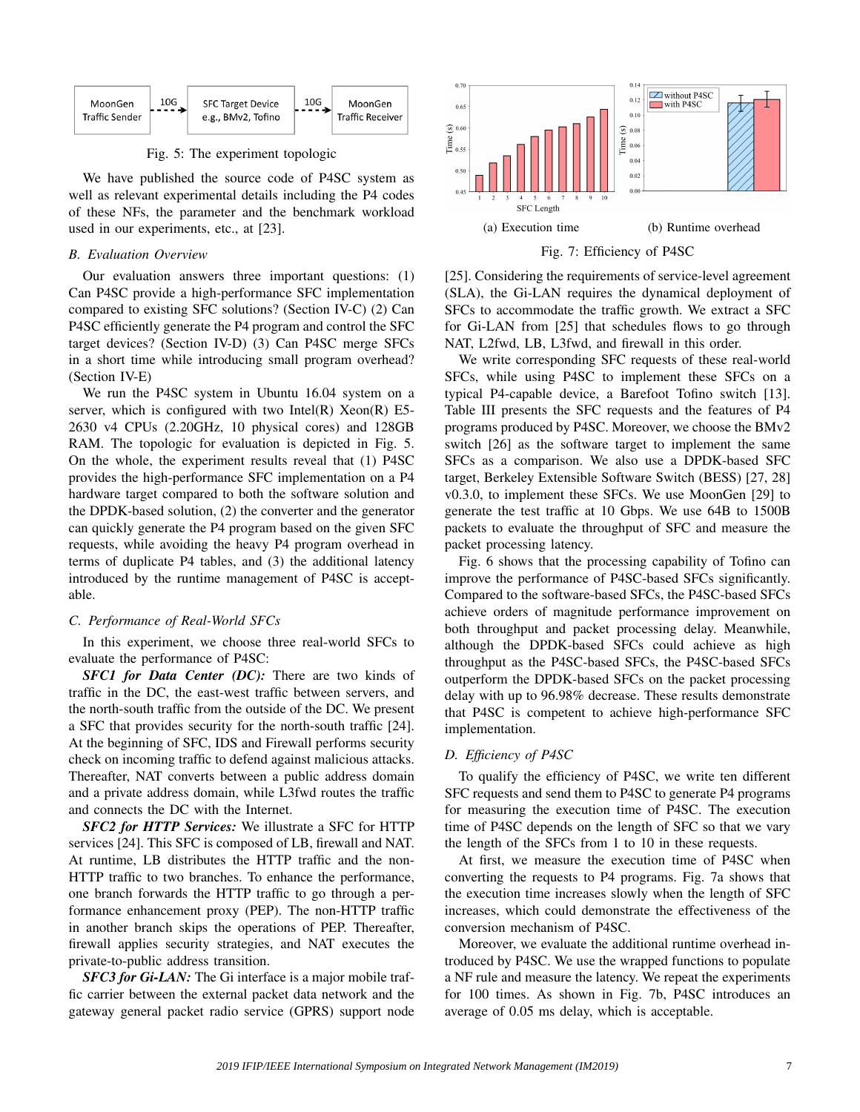

Fig. 5: The experiment topologic

We have published the source code of P4SC system as well as relevant experimental details including the P4 codes of these NFs, the parameter and the benchmark workload used in our experiments, etc., at [23].

#### *B. Evaluation Overview*

Our evaluation answers three important questions: (1) Can P4SC provide a high-performance SFC implementation compared to existing SFC solutions? (Section IV-C) (2) Can P4SC efficiently generate the P4 program and control the SFC target devices? (Section IV-D) (3) Can P4SC merge SFCs in a short time while introducing small program overhead? (Section IV-E)

We run the P4SC system in Ubuntu 16.04 system on a server, which is configured with two Intel $(R)$  Xeon $(R)$  E5-2630 v4 CPUs (2.20GHz, 10 physical cores) and 128GB RAM. The topologic for evaluation is depicted in Fig. 5. On the whole, the experiment results reveal that (1) P4SC provides the high-performance SFC implementation on a P4 hardware target compared to both the software solution and the DPDK-based solution, (2) the converter and the generator can quickly generate the P4 program based on the given SFC requests, while avoiding the heavy P4 program overhead in terms of duplicate P4 tables, and (3) the additional latency introduced by the runtime management of P4SC is acceptable.

#### *C. Performance of Real-World SFCs*

In this experiment, we choose three real-world SFCs to evaluate the performance of P4SC:

*SFC1 for Data Center (DC):* There are two kinds of traffic in the DC, the east-west traffic between servers, and the north-south traffic from the outside of the DC. We present a SFC that provides security for the north-south traffic [24]. At the beginning of SFC, IDS and Firewall performs security check on incoming traffic to defend against malicious attacks. Thereafter, NAT converts between a public address domain and a private address domain, while L3fwd routes the traffic and connects the DC with the Internet.

*SFC2 for HTTP Services:* We illustrate a SFC for HTTP services [24]. This SFC is composed of LB, firewall and NAT. At runtime, LB distributes the HTTP traffic and the non-HTTP traffic to two branches. To enhance the performance, one branch forwards the HTTP traffic to go through a performance enhancement proxy (PEP). The non-HTTP traffic in another branch skips the operations of PEP. Thereafter, firewall applies security strategies, and NAT executes the private-to-public address transition.

*SFC3 for Gi-LAN:* The Gi interface is a major mobile traffic carrier between the external packet data network and the gateway general packet radio service (GPRS) support node



Fig. 7: Efficiency of P4SC

[25]. Considering the requirements of service-level agreement (SLA), the Gi-LAN requires the dynamical deployment of SFCs to accommodate the traffic growth. We extract a SFC for Gi-LAN from [25] that schedules flows to go through NAT, L2fwd, LB, L3fwd, and firewall in this order.

We write corresponding SFC requests of these real-world SFCs, while using P4SC to implement these SFCs on a typical P4-capable device, a Barefoot Tofino switch [13]. Table III presents the SFC requests and the features of P4 programs produced by P4SC. Moreover, we choose the BMv2 switch [26] as the software target to implement the same SFCs as a comparison. We also use a DPDK-based SFC target, Berkeley Extensible Software Switch (BESS) [27, 28] v0.3.0, to implement these SFCs. We use MoonGen [29] to generate the test traffic at 10 Gbps. We use 64B to 1500B packets to evaluate the throughput of SFC and measure the packet processing latency.

Fig. 6 shows that the processing capability of Tofino can improve the performance of P4SC-based SFCs significantly. Compared to the software-based SFCs, the P4SC-based SFCs achieve orders of magnitude performance improvement on both throughput and packet processing delay. Meanwhile, although the DPDK-based SFCs could achieve as high throughput as the P4SC-based SFCs, the P4SC-based SFCs outperform the DPDK-based SFCs on the packet processing delay with up to 96.98% decrease. These results demonstrate that P4SC is competent to achieve high-performance SFC implementation.

#### *D. Efficiency of P4SC*

To qualify the efficiency of P4SC, we write ten different SFC requests and send them to P4SC to generate P4 programs for measuring the execution time of P4SC. The execution time of P4SC depends on the length of SFC so that we vary the length of the SFCs from 1 to 10 in these requests.

At first, we measure the execution time of P4SC when converting the requests to P4 programs. Fig. 7a shows that the execution time increases slowly when the length of SFC increases, which could demonstrate the effectiveness of the conversion mechanism of P4SC.

Moreover, we evaluate the additional runtime overhead introduced by P4SC. We use the wrapped functions to populate a NF rule and measure the latency. We repeat the experiments for 100 times. As shown in Fig. 7b, P4SC introduces an average of 0.05 ms delay, which is acceptable.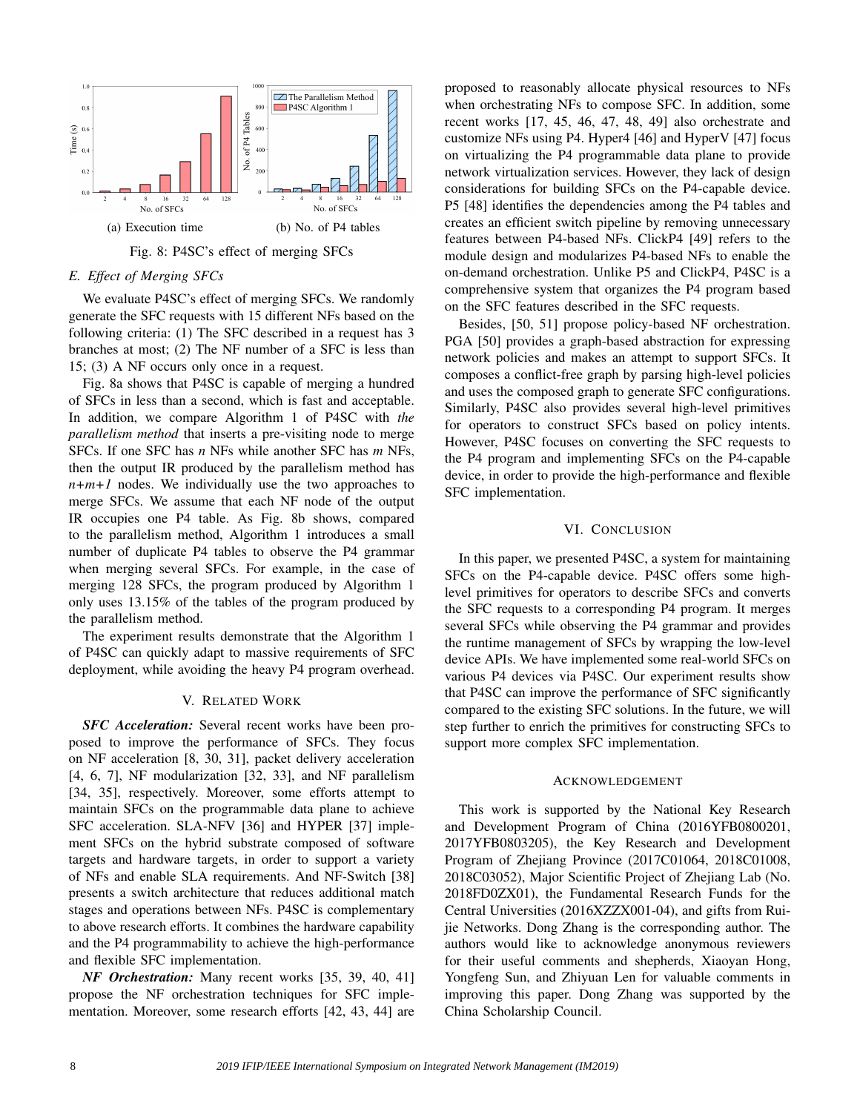

## *E. Effect of Merging SFCs*

We evaluate P4SC's effect of merging SFCs. We randomly generate the SFC requests with 15 different NFs based on the following criteria: (1) The SFC described in a request has 3 branches at most; (2) The NF number of a SFC is less than 15; (3) A NF occurs only once in a request.

Fig. 8a shows that P4SC is capable of merging a hundred of SFCs in less than a second, which is fast and acceptable. In addition, we compare Algorithm 1 of P4SC with *the parallelism method* that inserts a pre-visiting node to merge SFCs. If one SFC has *n* NFs while another SFC has *m* NFs, then the output IR produced by the parallelism method has  $n+m+1$  nodes. We individually use the two approaches to merge SFCs. We assume that each NF node of the output IR occupies one P4 table. As Fig. 8b shows, compared to the parallelism method, Algorithm 1 introduces a small number of duplicate P4 tables to observe the P4 grammar when merging several SFCs. For example, in the case of merging 128 SFCs, the program produced by Algorithm 1 only uses 13.15% of the tables of the program produced by the parallelism method.

The experiment results demonstrate that the Algorithm 1 of P4SC can quickly adapt to massive requirements of SFC deployment, while avoiding the heavy P4 program overhead.

# V. RELATED WORK

*SFC Acceleration:* Several recent works have been proposed to improve the performance of SFCs. They focus on NF acceleration [8, 30, 31], packet delivery acceleration [4, 6, 7], NF modularization [32, 33], and NF parallelism [34, 35], respectively. Moreover, some efforts attempt to maintain SFCs on the programmable data plane to achieve SFC acceleration. SLA-NFV [36] and HYPER [37] implement SFCs on the hybrid substrate composed of software targets and hardware targets, in order to support a variety of NFs and enable SLA requirements. And NF-Switch [38] presents a switch architecture that reduces additional match stages and operations between NFs. P4SC is complementary to above research efforts. It combines the hardware capability and the P4 programmability to achieve the high-performance and flexible SFC implementation.

*NF Orchestration:* Many recent works [35, 39, 40, 41] propose the NF orchestration techniques for SFC implementation. Moreover, some research efforts [42, 43, 44] are proposed to reasonably allocate physical resources to NFs when orchestrating NFs to compose SFC. In addition, some recent works [17, 45, 46, 47, 48, 49] also orchestrate and customize NFs using P4. Hyper4 [46] and HyperV [47] focus on virtualizing the P4 programmable data plane to provide network virtualization services. However, they lack of design considerations for building SFCs on the P4-capable device. P5 [48] identifies the dependencies among the P4 tables and creates an efficient switch pipeline by removing unnecessary features between P4-based NFs. ClickP4 [49] refers to the module design and modularizes P4-based NFs to enable the on-demand orchestration. Unlike P5 and ClickP4, P4SC is a comprehensive system that organizes the P4 program based on the SFC features described in the SFC requests.

Besides, [50, 51] propose policy-based NF orchestration. PGA [50] provides a graph-based abstraction for expressing network policies and makes an attempt to support SFCs. It composes a conflict-free graph by parsing high-level policies and uses the composed graph to generate SFC configurations. Similarly, P4SC also provides several high-level primitives for operators to construct SFCs based on policy intents. However, P4SC focuses on converting the SFC requests to the P4 program and implementing SFCs on the P4-capable device, in order to provide the high-performance and flexible SFC implementation.

#### VI. CONCLUSION

In this paper, we presented P4SC, a system for maintaining SFCs on the P4-capable device. P4SC offers some highlevel primitives for operators to describe SFCs and converts the SFC requests to a corresponding P4 program. It merges several SFCs while observing the P4 grammar and provides the runtime management of SFCs by wrapping the low-level device APIs. We have implemented some real-world SFCs on various P4 devices via P4SC. Our experiment results show that P4SC can improve the performance of SFC significantly compared to the existing SFC solutions. In the future, we will step further to enrich the primitives for constructing SFCs to support more complex SFC implementation.

#### ACKNOWLEDGEMENT

This work is supported by the National Key Research and Development Program of China (2016YFB0800201, 2017YFB0803205), the Key Research and Development Program of Zhejiang Province (2017C01064, 2018C01008, 2018C03052), Major Scientific Project of Zhejiang Lab (No. 2018FD0ZX01), the Fundamental Research Funds for the Central Universities (2016XZZX001-04), and gifts from Ruijie Networks. Dong Zhang is the corresponding author. The authors would like to acknowledge anonymous reviewers for their useful comments and shepherds, Xiaoyan Hong, Yongfeng Sun, and Zhiyuan Len for valuable comments in improving this paper. Dong Zhang was supported by the China Scholarship Council.